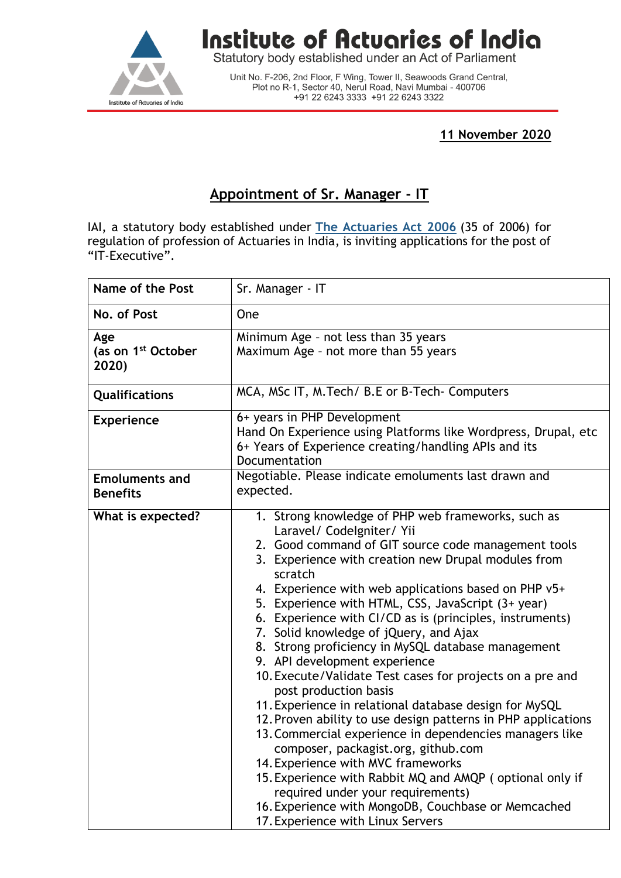

## **Institute of Actuaries of India**

Statutory body established under an Act of Parliament

Unit No. F-206, 2nd Floor, F Wing, Tower II, Seawoods Grand Central,<br>Plot no R-1, Sector 40, Nerul Road, Navi Mumbai - 400706 +91 22 6243 3333 +91 22 6243 3322

**11 November 2020** 

## **Appointment of Sr. Manager - IT**

IAI, a statutory body established under **[The Actuaries Act 2006](http://www.actuariesindia.org/guidance/scanned%20GN.pdf)** (35 of 2006) for regulation of profession of Actuaries in India, is inviting applications for the post of "IT-Executive".

| Name of the Post                               | Sr. Manager - IT                                                                                                                                                                                                                                                                                                                                                                                                                                                                                                                                                                                                                                                                                                                                                                                                                                                                                                                                                                                                                                                          |
|------------------------------------------------|---------------------------------------------------------------------------------------------------------------------------------------------------------------------------------------------------------------------------------------------------------------------------------------------------------------------------------------------------------------------------------------------------------------------------------------------------------------------------------------------------------------------------------------------------------------------------------------------------------------------------------------------------------------------------------------------------------------------------------------------------------------------------------------------------------------------------------------------------------------------------------------------------------------------------------------------------------------------------------------------------------------------------------------------------------------------------|
| No. of Post                                    | <b>One</b>                                                                                                                                                                                                                                                                                                                                                                                                                                                                                                                                                                                                                                                                                                                                                                                                                                                                                                                                                                                                                                                                |
| Age<br>(as on 1 <sup>st</sup> October<br>2020) | Minimum Age - not less than 35 years<br>Maximum Age - not more than 55 years                                                                                                                                                                                                                                                                                                                                                                                                                                                                                                                                                                                                                                                                                                                                                                                                                                                                                                                                                                                              |
| Qualifications                                 | MCA, MSc IT, M. Tech/ B.E or B-Tech- Computers                                                                                                                                                                                                                                                                                                                                                                                                                                                                                                                                                                                                                                                                                                                                                                                                                                                                                                                                                                                                                            |
| <b>Experience</b>                              | 6+ years in PHP Development<br>Hand On Experience using Platforms like Wordpress, Drupal, etc<br>6+ Years of Experience creating/handling APIs and its<br>Documentation                                                                                                                                                                                                                                                                                                                                                                                                                                                                                                                                                                                                                                                                                                                                                                                                                                                                                                   |
| <b>Emoluments and</b><br><b>Benefits</b>       | Negotiable. Please indicate emoluments last drawn and<br>expected.                                                                                                                                                                                                                                                                                                                                                                                                                                                                                                                                                                                                                                                                                                                                                                                                                                                                                                                                                                                                        |
| What is expected?                              | 1. Strong knowledge of PHP web frameworks, such as<br>Laravel/ Codelgniter/ Yii<br>2. Good command of GIT source code management tools<br>3. Experience with creation new Drupal modules from<br>scratch<br>4. Experience with web applications based on PHP v5+<br>5. Experience with HTML, CSS, JavaScript (3+ year)<br>6. Experience with CI/CD as is (principles, instruments)<br>7. Solid knowledge of jQuery, and Ajax<br>8. Strong proficiency in MySQL database management<br>9. API development experience<br>10. Execute/Validate Test cases for projects on a pre and<br>post production basis<br>11. Experience in relational database design for MySQL<br>12. Proven ability to use design patterns in PHP applications<br>13. Commercial experience in dependencies managers like<br>composer, packagist.org, github.com<br>14. Experience with MVC frameworks<br>15. Experience with Rabbit MQ and AMQP (optional only if<br>required under your requirements)<br>16. Experience with MongoDB, Couchbase or Memcached<br>17. Experience with Linux Servers |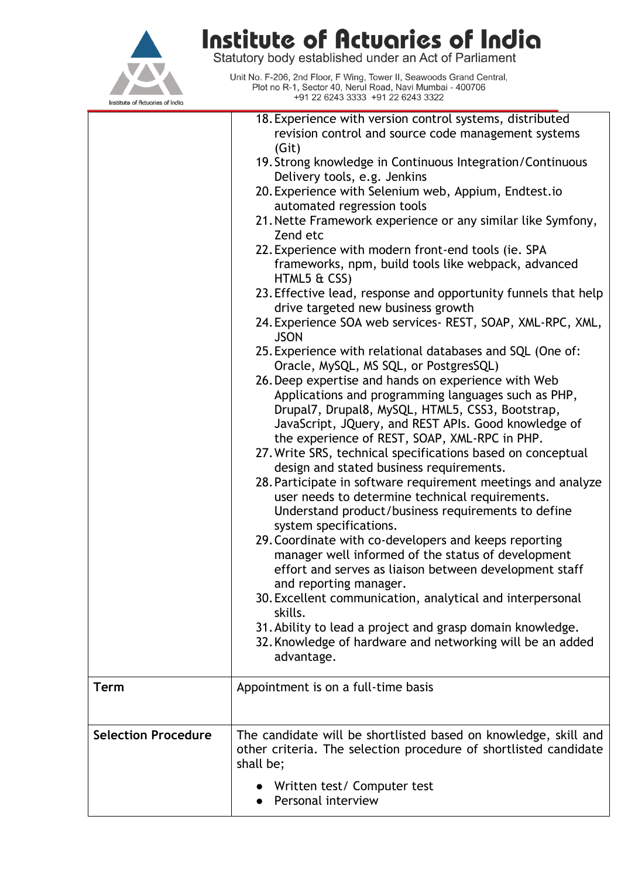

## **Institute of Actuaries of India**<br>Statutory body established under an Act of Parliament

Unit No. F-206, 2nd Floor, F Wing, Tower II, Seawoods Grand Central,<br>Plot no R-1, Sector 40, Nerul Road, Navi Mumbai - 400706 +91 22 6243 3333 +91 22 6243 3322

|                            | 18. Experience with version control systems, distributed                                            |
|----------------------------|-----------------------------------------------------------------------------------------------------|
|                            | revision control and source code management systems                                                 |
|                            | (Git)                                                                                               |
|                            | 19. Strong knowledge in Continuous Integration/Continuous                                           |
|                            | Delivery tools, e.g. Jenkins                                                                        |
|                            | 20. Experience with Selenium web, Appium, Endtest.io                                                |
|                            | automated regression tools                                                                          |
|                            | 21. Nette Framework experience or any similar like Symfony,                                         |
|                            | Zend etc                                                                                            |
|                            | 22. Experience with modern front-end tools (ie. SPA                                                 |
|                            | frameworks, npm, build tools like webpack, advanced                                                 |
|                            |                                                                                                     |
|                            | HTML5 & CSS)                                                                                        |
|                            | 23. Effective lead, response and opportunity funnels that help                                      |
|                            | drive targeted new business growth                                                                  |
|                            | 24. Experience SOA web services- REST, SOAP, XML-RPC, XML,<br><b>JSON</b>                           |
|                            | 25. Experience with relational databases and SQL (One of:<br>Oracle, MySQL, MS SQL, or PostgresSQL) |
|                            | 26. Deep expertise and hands on experience with Web                                                 |
|                            | Applications and programming languages such as PHP,                                                 |
|                            | Drupal7, Drupal8, MySQL, HTML5, CSS3, Bootstrap,                                                    |
|                            | JavaScript, JQuery, and REST APIs. Good knowledge of                                                |
|                            | the experience of REST, SOAP, XML-RPC in PHP.                                                       |
|                            | 27. Write SRS, technical specifications based on conceptual                                         |
|                            | design and stated business requirements.                                                            |
|                            | 28. Participate in software requirement meetings and analyze                                        |
|                            | user needs to determine technical requirements.                                                     |
|                            | Understand product/business requirements to define                                                  |
|                            | system specifications.                                                                              |
|                            | 29. Coordinate with co-developers and keeps reporting                                               |
|                            | manager well informed of the status of development                                                  |
|                            | effort and serves as liaison between development staff                                              |
|                            | and reporting manager.                                                                              |
|                            | 30. Excellent communication, analytical and interpersonal                                           |
|                            | skills.                                                                                             |
|                            | 31. Ability to lead a project and grasp domain knowledge.                                           |
|                            | 32. Knowledge of hardware and networking will be an added                                           |
|                            |                                                                                                     |
|                            | advantage.                                                                                          |
| <b>Term</b>                | Appointment is on a full-time basis                                                                 |
|                            |                                                                                                     |
|                            |                                                                                                     |
| <b>Selection Procedure</b> | The candidate will be shortlisted based on knowledge, skill and                                     |
|                            | other criteria. The selection procedure of shortlisted candidate                                    |
|                            | shall be;                                                                                           |
|                            |                                                                                                     |
|                            | Written test/ Computer test                                                                         |
|                            | Personal interview                                                                                  |